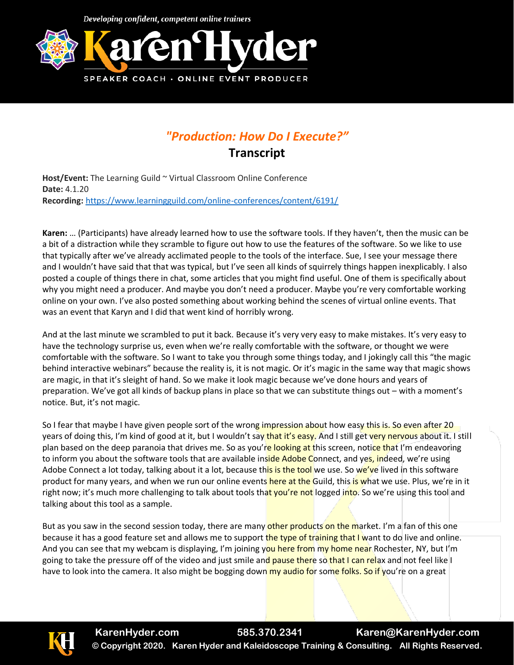Developing confident, competent online trainers



## *"Production: How Do I Execute?"*

**Transcript**

**Host/Event:** The Learning Guild ~ Virtual Classroom Online Conference **Date:** 4.1.20 **Recording:** <https://www.learningguild.com/online-conferences/content/6191/>

**Karen:** … (Participants) have already learned how to use the software tools. If they haven't, then the music can be a bit of a distraction while they scramble to figure out how to use the features of the software. So we like to use that typically after we've already acclimated people to the tools of the interface. Sue, I see your message there and I wouldn't have said that that was typical, but I've seen all kinds of squirrely things happen inexplicably. I also posted a couple of things there in chat, some articles that you might find useful. One of them is specifically about why you might need a producer. And maybe you don't need a producer. Maybe you're very comfortable working online on your own. I've also posted something about working behind the scenes of virtual online events. That was an event that Karyn and I did that went kind of horribly wrong.

And at the last minute we scrambled to put it back. Because it's very very easy to make mistakes. It's very easy to have the technology surprise us, even when we're really comfortable with the software, or thought we were comfortable with the software. So I want to take you through some things today, and I jokingly call this "the magic behind interactive webinars" because the reality is, it is not magic. Or it's magic in the same way that magic shows are magic, in that it's sleight of hand. So we make it look magic because we've done hours and years of preparation. We've got all kinds of backup plans in place so that we can substitute things out – with a moment's notice. But, it's not magic.

So I fear that maybe I have given people sort of the wrong impression about how easy this is. So even after 20 years of doing this, I'm kind of good at it, but I wouldn't say that it's easy. And I still get very nervous about it. I still plan based on the deep paranoia that drives me. So as you're looking at this screen, notice that I'm endeavoring to inform you about the software tools that are available inside Adobe Connect, and yes, indeed, we're using Adobe Connect a lot today, talking about it a lot, because this is the tool we use. So we've lived in this software product for many years, and when we run our online events here at the Guild, this is what we use. Plus, we're in it right now; it's much more challenging to talk about tools that you're not logged into. So we're using this tool and talking about this tool as a sample.

But as you saw in the second session today, there are many other products on the market. I'm a fan of this one because it has a good feature set and allows me to support the type of training that I want to do live and online. And you can see that my webcam is displaying, I'm joining you here from my home near Rochester, NY, but I'm going to take the pressure off of the video and just smile and pause there so that I can relax and not feel like I have to look into the camera. It also might be bogging down my audio for some folks. So if you're on a great

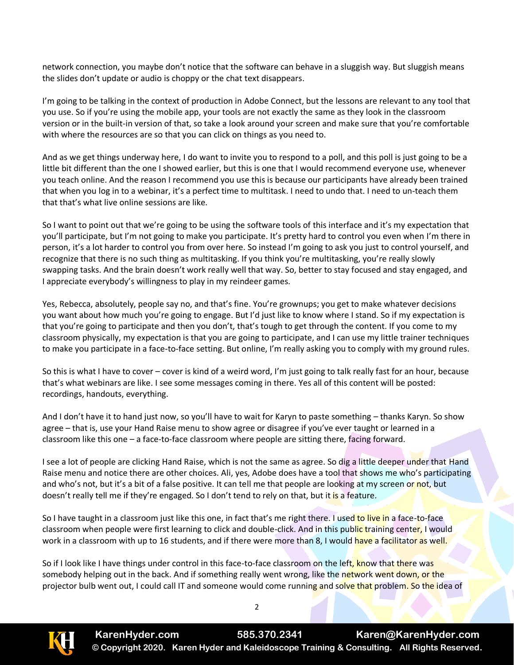network connection, you maybe don't notice that the software can behave in a sluggish way. But sluggish means the slides don't update or audio is choppy or the chat text disappears.

I'm going to be talking in the context of production in Adobe Connect, but the lessons are relevant to any tool that you use. So if you're using the mobile app, your tools are not exactly the same as they look in the classroom version or in the built-in version of that, so take a look around your screen and make sure that you're comfortable with where the resources are so that you can click on things as you need to.

And as we get things underway here, I do want to invite you to respond to a poll, and this poll is just going to be a little bit different than the one I showed earlier, but this is one that I would recommend everyone use, whenever you teach online. And the reason I recommend you use this is because our participants have already been trained that when you log in to a webinar, it's a perfect time to multitask. I need to undo that. I need to un-teach them that that's what live online sessions are like.

So I want to point out that we're going to be using the software tools of this interface and it's my expectation that you'll participate, but I'm not going to make you participate. It's pretty hard to control you even when I'm there in person, it's a lot harder to control you from over here. So instead I'm going to ask you just to control yourself, and recognize that there is no such thing as multitasking. If you think you're multitasking, you're really slowly swapping tasks. And the brain doesn't work really well that way. So, better to stay focused and stay engaged, and I appreciate everybody's willingness to play in my reindeer games.

Yes, Rebecca, absolutely, people say no, and that's fine. You're grownups; you get to make whatever decisions you want about how much you're going to engage. But I'd just like to know where I stand. So if my expectation is that you're going to participate and then you don't, that's tough to get through the content. If you come to my classroom physically, my expectation is that you are going to participate, and I can use my little trainer techniques to make you participate in a face-to-face setting. But online, I'm really asking you to comply with my ground rules.

So this is what I have to cover – cover is kind of a weird word, I'm just going to talk really fast for an hour, because that's what webinars are like. I see some messages coming in there. Yes all of this content will be posted: recordings, handouts, everything.

And I don't have it to hand just now, so you'll have to wait for Karyn to paste something – thanks Karyn. So show agree – that is, use your Hand Raise menu to show agree or disagree if you've ever taught or learned in a classroom like this one – a face-to-face classroom where people are sitting there, facing forward.

I see a lot of people are clicking Hand Raise, which is not the same as agree. So dig a little deeper under that Hand Raise menu and notice there are other choices. Ali, yes, Adobe does have a tool that shows me who's participating and who's not, but it's a bit of a false positive. It can tell me that people are looking at my screen or not, but doesn't really tell me if they're engaged. So I don't tend to rely on that, but it is a feature.

So I have taught in a classroom just like this one, in fact that's me right there. I used to live in a face-to-face classroom when people were first learning to click and double-click. And in this public training center, I would work in a classroom with up to 16 students, and if there were more than 8, I would have a facilitator as well.

So if I look like I have things under control in this face-to-face classroom on the left, know that there was somebody helping out in the back. And if something really went wrong, like the network went down, or the projector bulb went out, I could call IT and someone would come running and solve that problem. So the idea of

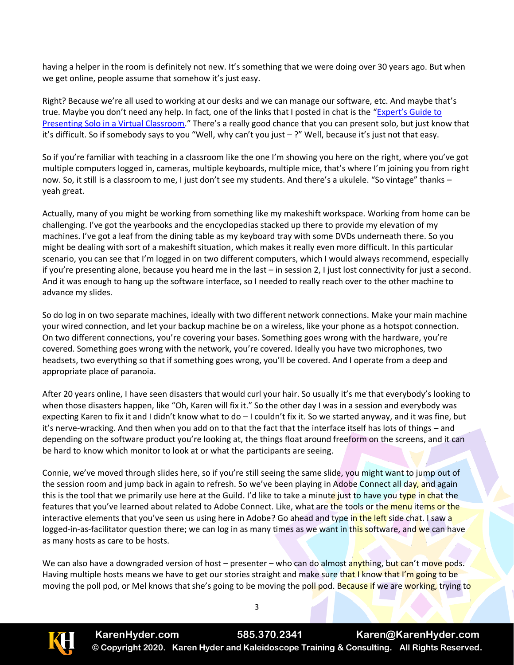having a helper in the room is definitely not new. It's something that we were doing over 30 years ago. But when we get online, people assume that somehow it's just easy.

Right? Because we're all used to working at our desks and we can manage our software, etc. And maybe that's true. Maybe you don't need any help. In fact, one of the links that I posted in chat is the "Expert's [Guide to](https://learningsolutionsmag.com/articles/2530/experts-guide-to-presenting-solo-in-a-virtual-classroom)  [Presenting Solo in a Virtual Classroom.](https://learningsolutionsmag.com/articles/2530/experts-guide-to-presenting-solo-in-a-virtual-classroom)" There's a really good chance that you can present solo, but just know that it's difficult. So if somebody says to you "Well, why can't you just – ?" Well, because it's just not that easy.

So if you're familiar with teaching in a classroom like the one I'm showing you here on the right, where you've got multiple computers logged in, cameras, multiple keyboards, multiple mice, that's where I'm joining you from right now. So, it still is a classroom to me, I just don't see my students. And there's a ukulele. "So vintage" thanks – yeah great.

Actually, many of you might be working from something like my makeshift workspace. Working from home can be challenging. I've got the yearbooks and the encyclopedias stacked up there to provide my elevation of my machines. I've got a leaf from the dining table as my keyboard tray with some DVDs underneath there. So you might be dealing with sort of a makeshift situation, which makes it really even more difficult. In this particular scenario, you can see that I'm logged in on two different computers, which I would always recommend, especially if you're presenting alone, because you heard me in the last – in session 2, I just lost connectivity for just a second. And it was enough to hang up the software interface, so I needed to really reach over to the other machine to advance my slides.

So do log in on two separate machines, ideally with two different network connections. Make your main machine your wired connection, and let your backup machine be on a wireless, like your phone as a hotspot connection. On two different connections, you're covering your bases. Something goes wrong with the hardware, you're covered. Something goes wrong with the network, you're covered. Ideally you have two microphones, two headsets, two everything so that if something goes wrong, you'll be covered. And I operate from a deep and appropriate place of paranoia.

After 20 years online, I have seen disasters that would curl your hair. So usually it's me that everybody's looking to when those disasters happen, like "Oh, Karen will fix it." So the other day I was in a session and everybody was expecting Karen to fix it and I didn't know what to do  $-1$  couldn't fix it. So we started anyway, and it was fine, but it's nerve-wracking. And then when you add on to that the fact that the interface itself has lots of things – and depending on the software product you're looking at, the things float around freeform on the screens, and it can be hard to know which monitor to look at or what the participants are seeing.

Connie, we've moved through slides here, so if you're still seeing the same slide, you might want to jump out of the session room and jump back in again to refresh. So we've been playing in Adobe Connect all day, and again this is the tool that we primarily use here at the Guild. I'd like to take a minute just to have you type in chat the features that you've learned about related to Adobe Connect. Like, what are the tools or the menu items or the interactive elements that you've seen us using here in Adobe? Go ahead and type in the left side chat. I saw a logged-in-as-facilitator question there; we can log in as many times as we want in this software, and we can have as many hosts as care to be hosts.

We can also have a downgraded version of host – presenter – who can do almost anything, but can't move pods. Having multiple hosts means we have to get our stories straight and make sure that I know that I'm going to be moving the poll pod, or Mel knows that she's going to be moving the poll pod. Because if we are working, trying to

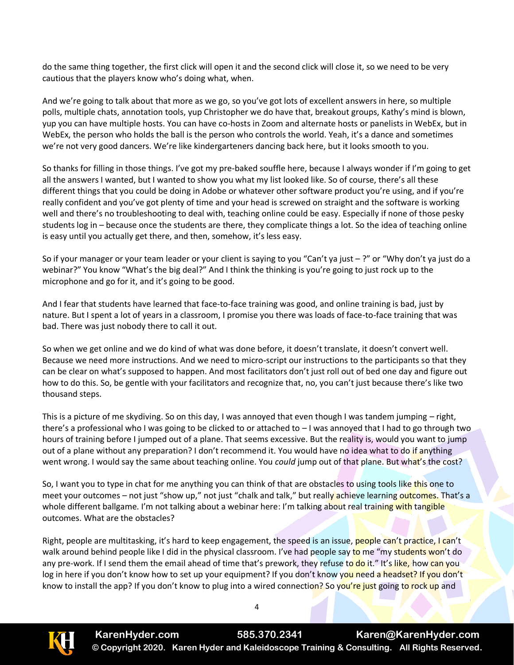do the same thing together, the first click will open it and the second click will close it, so we need to be very cautious that the players know who's doing what, when.

And we're going to talk about that more as we go, so you've got lots of excellent answers in here, so multiple polls, multiple chats, annotation tools, yup Christopher we do have that, breakout groups, Kathy's mind is blown, yup you can have multiple hosts. You can have co-hosts in Zoom and alternate hosts or panelists in WebEx, but in WebEx, the person who holds the ball is the person who controls the world. Yeah, it's a dance and sometimes we're not very good dancers. We're like kindergarteners dancing back here, but it looks smooth to you.

So thanks for filling in those things. I've got my pre-baked souffle here, because I always wonder if I'm going to get all the answers I wanted, but I wanted to show you what my list looked like. So of course, there's all these different things that you could be doing in Adobe or whatever other software product you're using, and if you're really confident and you've got plenty of time and your head is screwed on straight and the software is working well and there's no troubleshooting to deal with, teaching online could be easy. Especially if none of those pesky students log in – because once the students are there, they complicate things a lot. So the idea of teaching online is easy until you actually get there, and then, somehow, it's less easy.

So if your manager or your team leader or your client is saying to you "Can't ya just – ?" or "Why don't ya just do a webinar?" You know "What's the big deal?" And I think the thinking is you're going to just rock up to the microphone and go for it, and it's going to be good.

And I fear that students have learned that face-to-face training was good, and online training is bad, just by nature. But I spent a lot of years in a classroom, I promise you there was loads of face-to-face training that was bad. There was just nobody there to call it out.

So when we get online and we do kind of what was done before, it doesn't translate, it doesn't convert well. Because we need more instructions. And we need to micro-script our instructions to the participants so that they can be clear on what's supposed to happen. And most facilitators don't just roll out of bed one day and figure out how to do this. So, be gentle with your facilitators and recognize that, no, you can't just because there's like two thousand steps.

This is a picture of me skydiving. So on this day, I was annoyed that even though I was tandem jumping – right, there's a professional who I was going to be clicked to or attached to  $-1$  was annoyed that I had to go through two hours of training before I jumped out of a plane. That seems excessive. But the reality is, would you want to jump out of a plane without any preparation? I don't recommend it. You would have no idea what to do if anything went wrong. I would say the same about teaching online. You *could* jump out of that plane. But what's the cost?

So, I want you to type in chat for me anything you can think of that are obstacles to using tools like this one to meet your outcomes – not just "show up," not just "chalk and talk," but really achieve learning outcomes. That's a whole different ballgame. I'm not talking about a webinar here: I'm talking about real training with tangible outcomes. What are the obstacles?

Right, people are multitasking, it's hard to keep engagement, the speed is an issue, people can't practice, I can't walk around behind people like I did in the physical classroom. I've had people say to me "my students won't do any pre-work. If I send them the email ahead of time that's prework, they refuse to do it." It's like, how can you log in here if you don't know how to set up your equipment? If you don't know you need a headset? If you don't know to install the app? If you don't know to plug into a wired connection? So you're just going to rock up and

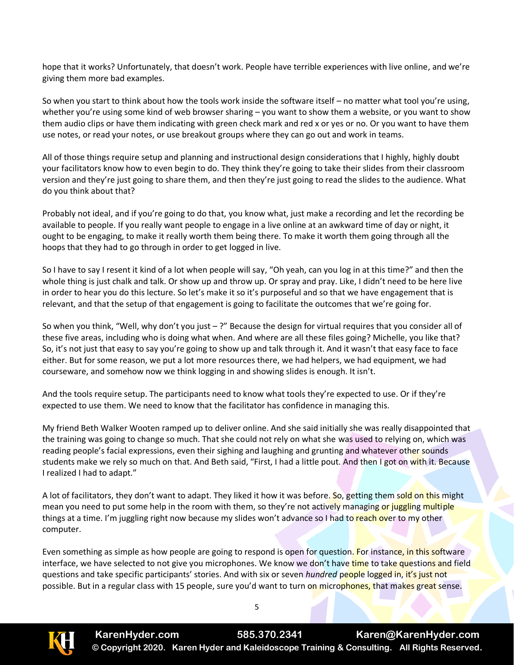hope that it works? Unfortunately, that doesn't work. People have terrible experiences with live online, and we're giving them more bad examples.

So when you start to think about how the tools work inside the software itself – no matter what tool you're using, whether you're using some kind of web browser sharing – you want to show them a website, or you want to show them audio clips or have them indicating with green check mark and red x or yes or no. Or you want to have them use notes, or read your notes, or use breakout groups where they can go out and work in teams.

All of those things require setup and planning and instructional design considerations that I highly, highly doubt your facilitators know how to even begin to do. They think they're going to take their slides from their classroom version and they're just going to share them, and then they're just going to read the slides to the audience. What do you think about that?

Probably not ideal, and if you're going to do that, you know what, just make a recording and let the recording be available to people. If you really want people to engage in a live online at an awkward time of day or night, it ought to be engaging, to make it really worth them being there. To make it worth them going through all the hoops that they had to go through in order to get logged in live.

So I have to say I resent it kind of a lot when people will say, "Oh yeah, can you log in at this time?" and then the whole thing is just chalk and talk. Or show up and throw up. Or spray and pray. Like, I didn't need to be here live in order to hear you do this lecture. So let's make it so it's purposeful and so that we have engagement that is relevant, and that the setup of that engagement is going to facilitate the outcomes that we're going for.

So when you think, "Well, why don't you just – ?" Because the design for virtual requires that you consider all of these five areas, including who is doing what when. And where are all these files going? Michelle, you like that? So, it's not just that easy to say you're going to show up and talk through it. And it wasn't that easy face to face either. But for some reason, we put a lot more resources there, we had helpers, we had equipment, we had courseware, and somehow now we think logging in and showing slides is enough. It isn't.

And the tools require setup. The participants need to know what tools they're expected to use. Or if they're expected to use them. We need to know that the facilitator has confidence in managing this.

My friend Beth Walker Wooten ramped up to deliver online. And she said initially she was really disappointed that the training was going to change so much. That she could not rely on what she was used to relying on, which was reading people's facial expressions, even their sighing and laughing and grunting and whatever other sounds students make we rely so much on that. And Beth said, "First, I had a little pout. And then I got on with it. Because I realized I had to adapt."

A lot of facilitators, they don't want to adapt. They liked it how it was before. So, getting them sold on this might mean you need to put some help in the room with them, so they're not actively managing or juggling multiple things at a time. I'm juggling right now because my slides won't advance so I had to reach over to my other computer.

Even something as simple as how people are going to respond is open for question. For instance, in this software interface, we have selected to not give you microphones. We know we don't have time to take questions and field questions and take specific participants' stories. And with six or seven *hundred* people logged in, it's just not possible. But in a regular class with 15 people, sure you'd want to turn on microphones, that makes great sense.

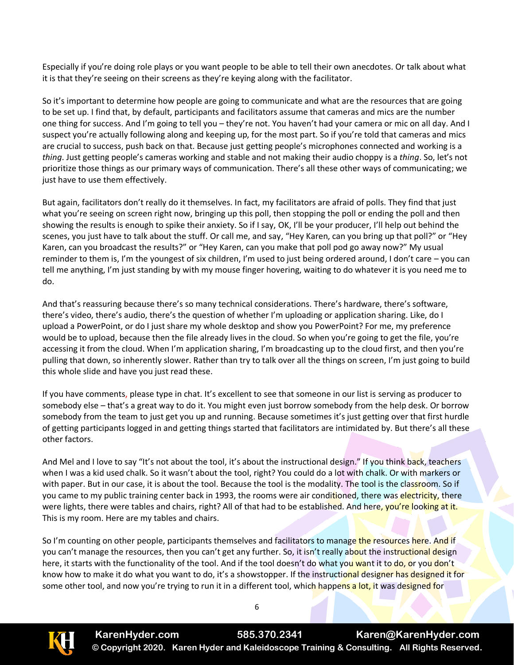Especially if you're doing role plays or you want people to be able to tell their own anecdotes. Or talk about what it is that they're seeing on their screens as they're keying along with the facilitator.

So it's important to determine how people are going to communicate and what are the resources that are going to be set up. I find that, by default, participants and facilitators assume that cameras and mics are the number one thing for success. And I'm going to tell you – they're not. You haven't had your camera or mic on all day. And I suspect you're actually following along and keeping up, for the most part. So if you're told that cameras and mics are crucial to success, push back on that. Because just getting people's microphones connected and working is a *thing*. Just getting people's cameras working and stable and not making their audio choppy is a *thing*. So, let's not prioritize those things as our primary ways of communication. There's all these other ways of communicating; we just have to use them effectively.

But again, facilitators don't really do it themselves. In fact, my facilitators are afraid of polls. They find that just what you're seeing on screen right now, bringing up this poll, then stopping the poll or ending the poll and then showing the results is enough to spike their anxiety. So if I say, OK, I'll be your producer, I'll help out behind the scenes, you just have to talk about the stuff. Or call me, and say, "Hey Karen, can you bring up that poll?" or "Hey Karen, can you broadcast the results?" or "Hey Karen, can you make that poll pod go away now?" My usual reminder to them is, I'm the youngest of six children, I'm used to just being ordered around, I don't care – you can tell me anything, I'm just standing by with my mouse finger hovering, waiting to do whatever it is you need me to do.

And that's reassuring because there's so many technical considerations. There's hardware, there's software, there's video, there's audio, there's the question of whether I'm uploading or application sharing. Like, do I upload a PowerPoint, or do I just share my whole desktop and show you PowerPoint? For me, my preference would be to upload, because then the file already lives in the cloud. So when you're going to get the file, you're accessing it from the cloud. When I'm application sharing, I'm broadcasting up to the cloud first, and then you're pulling that down, so inherently slower. Rather than try to talk over all the things on screen, I'm just going to build this whole slide and have you just read these.

If you have comments, please type in chat. It's excellent to see that someone in our list is serving as producer to somebody else – that's a great way to do it. You might even just borrow somebody from the help desk. Or borrow somebody from the team to just get you up and running. Because sometimes it's just getting over that first hurdle of getting participants logged in and getting things started that facilitators are intimidated by. But there's all these other factors.

And Mel and I love to say "It's not about the tool, it's about the instructional design." If you think back, teachers when I was a kid used chalk. So it wasn't about the tool, right? You could do a lot with chalk. Or with markers or with paper. But in our case, it is about the tool. Because the tool is the modality. The tool is the classroom. So if you came to my public training center back in 1993, the rooms were air conditioned, there was electricity, there were lights, there were tables and chairs, right? All of that had to be established. And here, you're looking at it. This is my room. Here are my tables and chairs.

So I'm counting on other people, participants themselves and facilitators to manage the resources here. And if you can't manage the resources, then you can't get any further. So, it isn't really about the instructional design here, it starts with the functionality of the tool. And if the tool doesn't do what you want it to do, or you don't know how to make it do what you want to do, it's a showstopper. If the instructional designer has designed it for some other tool, and now you're trying to run it in a different tool, which happens a lot, it was designed for

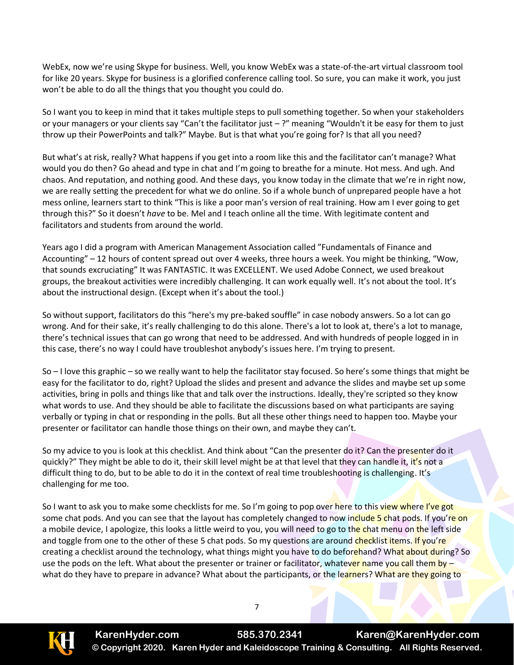WebEx, now we're using Skype for business. Well, you know WebEx was a state-of-the-art virtual classroom tool for like 20 years. Skype for business is a glorified conference calling tool. So sure, you can make it work, you just won't be able to do all the things that you thought you could do.

So I want you to keep in mind that it takes multiple steps to pull something together. So when your stakeholders or your managers or your clients say "Can't the facilitator just – ?" meaning "Wouldn't it be easy for them to just throw up their PowerPoints and talk?" Maybe. But is that what you're going for? Is that all you need?

But what's at risk, really? What happens if you get into a room like this and the facilitator can't manage? What would you do then? Go ahead and type in chat and I'm going to breathe for a minute. Hot mess. And ugh. And chaos. And reputation, and nothing good. And these days, you know today in the climate that we're in right now, we are really setting the precedent for what we do online. So if a whole bunch of unprepared people have a hot mess online, learners start to think "This is like a poor man's version of real training. How am I ever going to get through this?" So it doesn't *have* to be. Mel and I teach online all the time. With legitimate content and facilitators and students from around the world.

Years ago I did a program with American Management Association called "Fundamentals of Finance and Accounting" – 12 hours of content spread out over 4 weeks, three hours a week. You might be thinking, "Wow, that sounds excruciating" It was FANTASTIC. It was EXCELLENT. We used Adobe Connect, we used breakout groups, the breakout activities were incredibly challenging. It can work equally well. It's not about the tool. It's about the instructional design. (Except when it's about the tool.)

So without support, facilitators do this "here's my pre-baked souffle" in case nobody answers. So a lot can go wrong. And for their sake, it's really challenging to do this alone. There's a lot to look at, there's a lot to manage, there's technical issues that can go wrong that need to be addressed. And with hundreds of people logged in in this case, there's no way I could have troubleshot anybody's issues here. I'm trying to present.

So – I love this graphic – so we really want to help the facilitator stay focused. So here's some things that might be easy for the facilitator to do, right? Upload the slides and present and advance the slides and maybe set up some activities, bring in polls and things like that and talk over the instructions. Ideally, they're scripted so they know what words to use. And they should be able to facilitate the discussions based on what participants are saying verbally or typing in chat or responding in the polls. But all these other things need to happen too. Maybe your presenter or facilitator can handle those things on their own, and maybe they can't.

So my advice to you is look at this checklist. And think about "Can the presenter do it? Can the presenter do it quickly?" They might be able to do it, their skill level might be at that level that they can handle it, it's not a difficult thing to do, but to be able to do it in the context of real time troubleshooting is challenging. It's challenging for me too.

So I want to ask you to make some checklists for me. So I'm going to pop over here to this view where I've got some chat pods. And you can see that the layout has completely changed to now include 5 chat pods. If you're on a mobile device, I apologize, this looks a little weird to you, you will need to go to the chat menu on the left side and toggle from one to the other of these 5 chat pods. So my questions are around checklist items. If you're creating a checklist around the technology, what things might you have to do beforehand? What about during? So use the pods on the left. What about the presenter or trainer or facilitator, whatever name you call them by what do they have to prepare in advance? What about the participants, or the learners? What are they going to

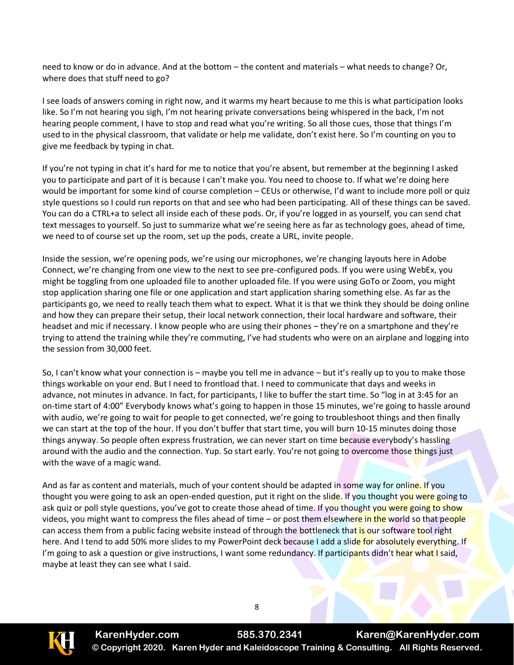need to know or do in advance. And at the bottom – the content and materials – what needs to change? Or, where does that stuff need to go?

I see loads of answers coming in right now, and it warms my heart because to me this is what participation looks like. So I'm not hearing you sigh, I'm not hearing private conversations being whispered in the back, I'm not hearing people comment, I have to stop and read what you're writing. So all those cues, those that things I'm used to in the physical classroom, that validate or help me validate, don't exist here. So I'm counting on you to give me feedback by typing in chat.

If you're not typing in chat it's hard for me to notice that you're absent, but remember at the beginning I asked you to participate and part of it is because I can't make you. You need to choose to. If what we're doing here would be important for some kind of course completion – CEUs or otherwise, I'd want to include more poll or quiz style questions so I could run reports on that and see who had been participating. All of these things can be saved. You can do a CTRL+a to select all inside each of these pods. Or, if you're logged in as yourself, you can send chat text messages to yourself. So just to summarize what we're seeing here as far as technology goes, ahead of time, we need to of course set up the room, set up the pods, create a URL, invite people.

Inside the session, we're opening pods, we're using our microphones, we're changing layouts here in Adobe Connect, we're changing from one view to the next to see pre-configured pods. If you were using WebEx, you might be toggling from one uploaded file to another uploaded file. If you were using GoTo or Zoom, you might stop application sharing one file or one application and start application sharing something else. As far as the participants go, we need to really teach them what to expect. What it is that we think they should be doing online and how they can prepare their setup, their local network connection, their local hardware and software, their headset and mic if necessary. I know people who are using their phones – they're on a smartphone and they're trying to attend the training while they're commuting, I've had students who were on an airplane and logging into the session from 30,000 feet.

So, I can't know what your connection is – maybe you tell me in advance – but it's really up to you to make those things workable on your end. But I need to frontload that. I need to communicate that days and weeks in advance, not minutes in advance. In fact, for participants, I like to buffer the start time. So "log in at 3:45 for an on-time start of 4:00" Everybody knows what's going to happen in those 15 minutes, we're going to hassle around with audio, we're going to wait for people to get connected, we're going to troubleshoot things and then finally we can start at the top of the hour. If you don't buffer that start time, you will burn 10-15 minutes doing those things anyway. So people often express frustration, we can never start on time because everybody's hassling around with the audio and the connection. Yup. So start early. You're not going to overcome those things just with the wave of a magic wand.

And as far as content and materials, much of your content should be adapted in some way for online. If you thought you were going to ask an open-ended question, put it right on the slide. If you thought you were going to ask quiz or poll style questions, you've got to create those ahead of time. If you thought you were going to show videos, you might want to compress the files ahead of time – or post them elsewhere in the world so that people can access them from a public facing website instead of through the bottleneck that is our software tool right here. And I tend to add 50% more slides to my PowerPoint deck because I add a slide for absolutely everything. If I'm going to ask a question or give instructions, I want some redundancy. If participants didn't hear what I said, maybe at least they can see what I said.



**KarenHyder.com 585.370.2341 Karen@KarenHyder.com © Copyright 2020. Karen Hyder and Kaleidoscope Training & Consulting. All Rights Reserved.**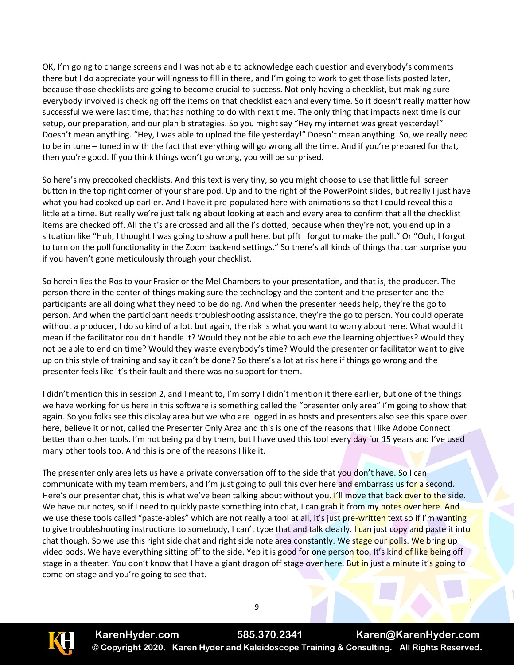OK, I'm going to change screens and I was not able to acknowledge each question and everybody's comments there but I do appreciate your willingness to fill in there, and I'm going to work to get those lists posted later, because those checklists are going to become crucial to success. Not only having a checklist, but making sure everybody involved is checking off the items on that checklist each and every time. So it doesn't really matter how successful we were last time, that has nothing to do with next time. The only thing that impacts next time is our setup, our preparation, and our plan b strategies. So you might say "Hey my internet was great yesterday!" Doesn't mean anything. "Hey, I was able to upload the file yesterday!" Doesn't mean anything. So, we really need to be in tune – tuned in with the fact that everything will go wrong all the time. And if you're prepared for that, then you're good. If you think things won't go wrong, you will be surprised.

So here's my precooked checklists. And this text is very tiny, so you might choose to use that little full screen button in the top right corner of your share pod. Up and to the right of the PowerPoint slides, but really I just have what you had cooked up earlier. And I have it pre-populated here with animations so that I could reveal this a little at a time. But really we're just talking about looking at each and every area to confirm that all the checklist items are checked off. All the t's are crossed and all the i's dotted, because when they're not, you end up in a situation like "Huh, I thought I was going to show a poll here, but pfft I forgot to make the poll." Or "Ooh, I forgot to turn on the poll functionality in the Zoom backend settings." So there's all kinds of things that can surprise you if you haven't gone meticulously through your checklist.

So herein lies the Ros to your Frasier or the Mel Chambers to your presentation, and that is, the producer. The person there in the center of things making sure the technology and the content and the presenter and the participants are all doing what they need to be doing. And when the presenter needs help, they're the go to person. And when the participant needs troubleshooting assistance, they're the go to person. You could operate without a producer, I do so kind of a lot, but again, the risk is what you want to worry about here. What would it mean if the facilitator couldn't handle it? Would they not be able to achieve the learning objectives? Would they not be able to end on time? Would they waste everybody's time? Would the presenter or facilitator want to give up on this style of training and say it can't be done? So there's a lot at risk here if things go wrong and the presenter feels like it's their fault and there was no support for them.

I didn't mention this in session 2, and I meant to, I'm sorry I didn't mention it there earlier, but one of the things we have working for us here in this software is something called the "presenter only area" I'm going to show that again. So you folks see this display area but we who are logged in as hosts and presenters also see this space over here, believe it or not, called the Presenter Only Area and this is one of the reasons that I like Adobe Connect better than other tools. I'm not being paid by them, but I have used this tool every day for 15 years and I've used many other tools too. And this is one of the reasons I like it.

The presenter only area lets us have a private conversation off to the side that you don't have. So I can communicate with my team members, and I'm just going to pull this over here and embarrass us for a second. Here's our presenter chat, this is what we've been talking about without you. I'll move that back over to the side. We have our notes, so if I need to quickly paste something into chat, I can grab it from my notes over here. And we use these tools called "paste-ables" which are not really a tool at all, it's just pre-written text so if I'm wanting to give troubleshooting instructions to somebody, I can't type that and talk clearly. I can just copy and paste it into chat though. So we use this right side chat and right side note area constantly. We stage our polls. We bring up video pods. We have everything sitting off to the side. Yep it is good for one person too. It's kind of like being off stage in a theater. You don't know that I have a giant dragon off stage over here. But in just a minute it's going to come on stage and you're going to see that.

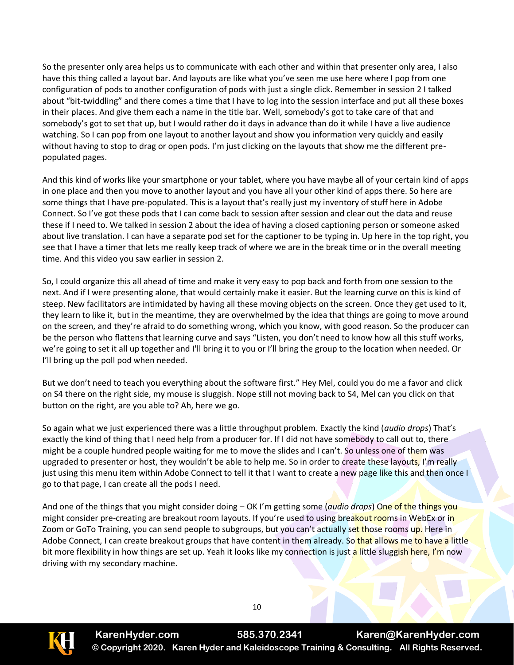So the presenter only area helps us to communicate with each other and within that presenter only area, I also have this thing called a layout bar. And layouts are like what you've seen me use here where I pop from one configuration of pods to another configuration of pods with just a single click. Remember in session 2 I talked about "bit-twiddling" and there comes a time that I have to log into the session interface and put all these boxes in their places. And give them each a name in the title bar. Well, somebody's got to take care of that and somebody's got to set that up, but I would rather do it days in advance than do it while I have a live audience watching. So I can pop from one layout to another layout and show you information very quickly and easily without having to stop to drag or open pods. I'm just clicking on the layouts that show me the different prepopulated pages.

And this kind of works like your smartphone or your tablet, where you have maybe all of your certain kind of apps in one place and then you move to another layout and you have all your other kind of apps there. So here are some things that I have pre-populated. This is a layout that's really just my inventory of stuff here in Adobe Connect. So I've got these pods that I can come back to session after session and clear out the data and reuse these if I need to. We talked in session 2 about the idea of having a closed captioning person or someone asked about live translation. I can have a separate pod set for the captioner to be typing in. Up here in the top right, you see that I have a timer that lets me really keep track of where we are in the break time or in the overall meeting time. And this video you saw earlier in session 2.

So, I could organize this all ahead of time and make it very easy to pop back and forth from one session to the next. And if I were presenting alone, that would certainly make it easier. But the learning curve on this is kind of steep. New facilitators are intimidated by having all these moving objects on the screen. Once they get used to it, they learn to like it, but in the meantime, they are overwhelmed by the idea that things are going to move around on the screen, and they're afraid to do something wrong, which you know, with good reason. So the producer can be the person who flattens that learning curve and says "Listen, you don't need to know how all this stuff works, we're going to set it all up together and I'll bring it to you or I'll bring the group to the location when needed. Or I'll bring up the poll pod when needed.

But we don't need to teach you everything about the software first." Hey Mel, could you do me a favor and click on S4 there on the right side, my mouse is sluggish. Nope still not moving back to S4, Mel can you click on that button on the right, are you able to? Ah, here we go.

So again what we just experienced there was a little throughput problem. Exactly the kind (*audio drops*) That's exactly the kind of thing that I need help from a producer for. If I did not have somebody to call out to, there might be a couple hundred people waiting for me to move the slides and I can't. So unless one of them was upgraded to presenter or host, they wouldn't be able to help me. So in order to create these layouts, I'm really just using this menu item within Adobe Connect to tell it that I want to create a new page like this and then once I go to that page, I can create all the pods I need.

And one of the things that you might consider doing – OK I'm getting some (*audio drops*) One of the things you might consider pre-creating are breakout room layouts. If you're used to using breakout rooms in WebEx or in Zoom or GoTo Training, you can send people to subgroups, but you can't actually set those rooms up. Here in Adobe Connect, I can create breakout groups that have content in them already. So that allows me to have a little bit more flexibility in how things are set up. Yeah it looks like my connection is just a little sluggish here, I'm now driving with my secondary machine.



**KarenHyder.com 585.370.2341 Karen@KarenHyder.com © Copyright 2020. Karen Hyder and Kaleidoscope Training & Consulting. All Rights Reserved.**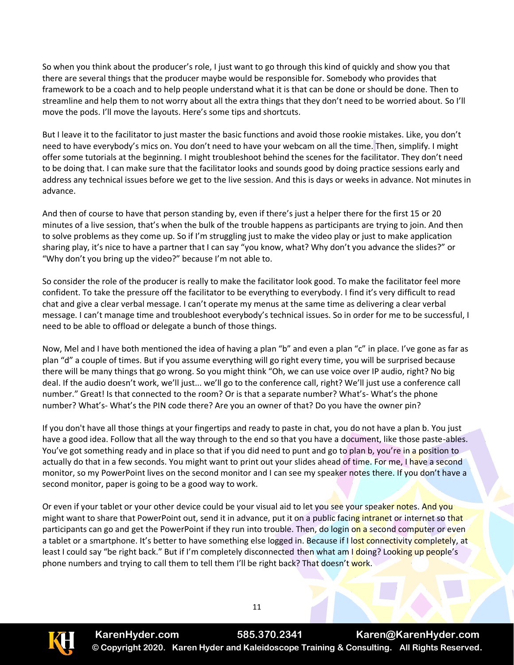So when you think about the producer's role, I just want to go through this kind of quickly and show you that there are several things that the producer maybe would be responsible for. Somebody who provides that framework to be a coach and to help people understand what it is that can be done or should be done. Then to streamline and help them to not worry about all the extra things that they don't need to be worried about. So I'll move the pods. I'll move the layouts. Here's some tips and shortcuts.

But I leave it to the facilitator to just master the basic functions and avoid those rookie mistakes. Like, you don't need to have everybody's mics on. You don't need to have your webcam on all the time. Then, simplify. I might offer some tutorials at the beginning. I might troubleshoot behind the scenes for the facilitator. They don't need to be doing that. I can make sure that the facilitator looks and sounds good by doing practice sessions early and address any technical issues before we get to the live session. And this is days or weeks in advance. Not minutes in advance.

And then of course to have that person standing by, even if there's just a helper there for the first 15 or 20 minutes of a live session, that's when the bulk of the trouble happens as participants are trying to join. And then to solve problems as they come up. So if I'm struggling just to make the video play or just to make application sharing play, it's nice to have a partner that I can say "you know, what? Why don't you advance the slides?" or "Why don't you bring up the video?" because I'm not able to.

So consider the role of the producer is really to make the facilitator look good. To make the facilitator feel more confident. To take the pressure off the facilitator to be everything to everybody. I find it's very difficult to read chat and give a clear verbal message. I can't operate my menus at the same time as delivering a clear verbal message. I can't manage time and troubleshoot everybody's technical issues. So in order for me to be successful, I need to be able to offload or delegate a bunch of those things.

Now, Mel and I have both mentioned the idea of having a plan "b" and even a plan "c" in place. I've gone as far as plan "d" a couple of times. But if you assume everything will go right every time, you will be surprised because there will be many things that go wrong. So you might think "Oh, we can use voice over IP audio, right? No big deal. If the audio doesn't work, we'll just... we'll go to the conference call, right? We'll just use a conference call number." Great! Is that connected to the room? Or is that a separate number? What's- What's the phone number? What's- What's the PIN code there? Are you an owner of that? Do you have the owner pin?

If you don't have all those things at your fingertips and ready to paste in chat, you do not have a plan b. You just have a good idea. Follow that all the way through to the end so that you have a document, like those paste-ables. You've got something ready and in place so that if you did need to punt and go to plan b, you're in a position to actually do that in a few seconds. You might want to print out your slides ahead of time. For me, I have a second monitor, so my PowerPoint lives on the second monitor and I can see my speaker notes there. If you don't have a second monitor, paper is going to be a good way to work.

Or even if your tablet or your other device could be your visual aid to let you see your speaker notes. And you might want to share that PowerPoint out, send it in advance, put it on a public facing intranet or internet so that participants can go and get the PowerPoint if they run into trouble. Then, do login on a second computer or even a tablet or a smartphone. It's better to have something else logged in. Because if I lost connectivity completely, at least I could say "be right back." But if I'm completely disconnected then what am I doing? Looking up people's phone numbers and trying to call them to tell them I'll be right back? That doesn't work.



**KarenHyder.com 585.370.2341 Karen@KarenHyder.com © Copyright 2020. Karen Hyder and Kaleidoscope Training & Consulting. All Rights Reserved.**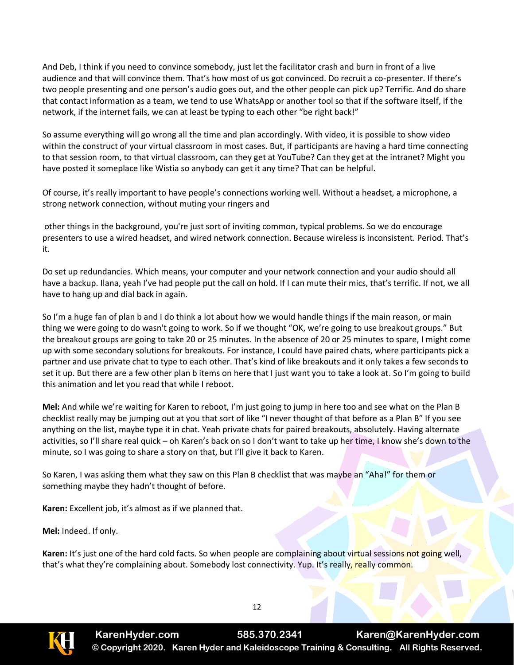And Deb, I think if you need to convince somebody, just let the facilitator crash and burn in front of a live audience and that will convince them. That's how most of us got convinced. Do recruit a co-presenter. If there's two people presenting and one person's audio goes out, and the other people can pick up? Terrific. And do share that contact information as a team, we tend to use WhatsApp or another tool so that if the software itself, if the network, if the internet fails, we can at least be typing to each other "be right back!"

So assume everything will go wrong all the time and plan accordingly. With video, it is possible to show video within the construct of your virtual classroom in most cases. But, if participants are having a hard time connecting to that session room, to that virtual classroom, can they get at YouTube? Can they get at the intranet? Might you have posted it someplace like Wistia so anybody can get it any time? That can be helpful.

Of course, it's really important to have people's connections working well. Without a headset, a microphone, a strong network connection, without muting your ringers and

other things in the background, you're just sort of inviting common, typical problems. So we do encourage presenters to use a wired headset, and wired network connection. Because wireless is inconsistent. Period. That's it.

Do set up redundancies. Which means, your computer and your network connection and your audio should all have a backup. Ilana, yeah I've had people put the call on hold. If I can mute their mics, that's terrific. If not, we all have to hang up and dial back in again.

So I'm a huge fan of plan b and I do think a lot about how we would handle things if the main reason, or main thing we were going to do wasn't going to work. So if we thought "OK, we're going to use breakout groups." But the breakout groups are going to take 20 or 25 minutes. In the absence of 20 or 25 minutes to spare, I might come up with some secondary solutions for breakouts. For instance, I could have paired chats, where participants pick a partner and use private chat to type to each other. That's kind of like breakouts and it only takes a few seconds to set it up. But there are a few other plan b items on here that I just want you to take a look at. So I'm going to build this animation and let you read that while I reboot.

**Mel:** And while we're waiting for Karen to reboot, I'm just going to jump in here too and see what on the Plan B checklist really may be jumping out at you that sort of like "I never thought of that before as a Plan B" If you see anything on the list, maybe type it in chat. Yeah private chats for paired breakouts, absolutely. Having alternate activities, so I'll share real quick – oh Karen's back on so I don't want to take up her time, I know she's down to the minute, so I was going to share a story on that, but I'll give it back to Karen.

So Karen, I was asking them what they saw on this Plan B checklist that was maybe an "Aha!" for them or something maybe they hadn't thought of before.

**Karen:** Excellent job, it's almost as if we planned that.

**Mel:** Indeed. If only.

**Karen:** It's just one of the hard cold facts. So when people are complaining about virtual sessions not going well, that's what they're complaining about. Somebody lost connectivity. Yup. It's really, really common.

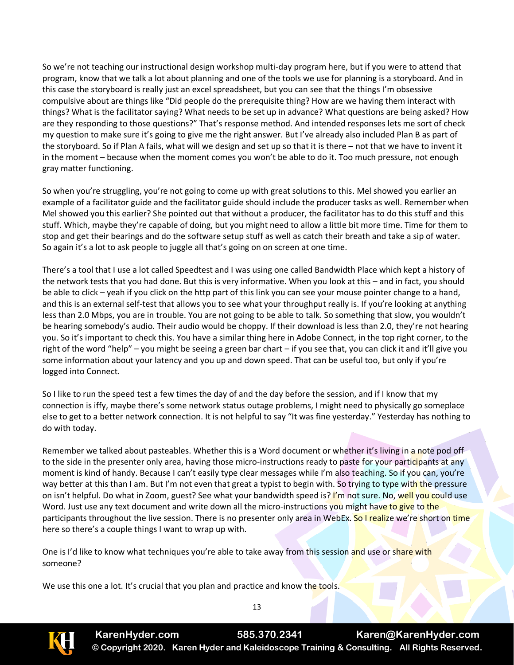So we're not teaching our instructional design workshop multi-day program here, but if you were to attend that program, know that we talk a lot about planning and one of the tools we use for planning is a storyboard. And in this case the storyboard is really just an excel spreadsheet, but you can see that the things I'm obsessive compulsive about are things like "Did people do the prerequisite thing? How are we having them interact with things? What is the facilitator saying? What needs to be set up in advance? What questions are being asked? How are they responding to those questions?" That's response method. And intended responses lets me sort of check my question to make sure it's going to give me the right answer. But I've already also included Plan B as part of the storyboard. So if Plan A fails, what will we design and set up so that it is there – not that we have to invent it in the moment – because when the moment comes you won't be able to do it. Too much pressure, not enough gray matter functioning.

So when you're struggling, you're not going to come up with great solutions to this. Mel showed you earlier an example of a facilitator guide and the facilitator guide should include the producer tasks as well. Remember when Mel showed you this earlier? She pointed out that without a producer, the facilitator has to do this stuff and this stuff. Which, maybe they're capable of doing, but you might need to allow a little bit more time. Time for them to stop and get their bearings and do the software setup stuff as well as catch their breath and take a sip of water. So again it's a lot to ask people to juggle all that's going on on screen at one time.

There's a tool that I use a lot called Speedtest and I was using one called Bandwidth Place which kept a history of the network tests that you had done. But this is very informative. When you look at this – and in fact, you should be able to click – yeah if you click on the http part of this link you can see your mouse pointer change to a hand, and this is an external self-test that allows you to see what your throughput really is. If you're looking at anything less than 2.0 Mbps, you are in trouble. You are not going to be able to talk. So something that slow, you wouldn't be hearing somebody's audio. Their audio would be choppy. If their download is less than 2.0, they're not hearing you. So it's important to check this. You have a similar thing here in Adobe Connect, in the top right corner, to the right of the word "help" – you might be seeing a green bar chart – if you see that, you can click it and it'll give you some information about your latency and you up and down speed. That can be useful too, but only if you're logged into Connect.

So I like to run the speed test a few times the day of and the day before the session, and if I know that my connection is iffy, maybe there's some network status outage problems, I might need to physically go someplace else to get to a better network connection. It is not helpful to say "It was fine yesterday." Yesterday has nothing to do with today.

Remember we talked about pasteables. Whether this is a Word document or whether it's living in a note pod off to the side in the presenter only area, having those micro-instructions ready to paste for your participants at any moment is kind of handy. Because I can't easily type clear messages while I'm also teaching. So if you can, you're way better at this than I am. But I'm not even that great a typist to begin with. So trying to type with the pressure on isn't helpful. Do what in Zoom, guest? See what your bandwidth speed is? I'm not sure. No, well you could use Word. Just use any text document and write down all the micro-instructions you might have to give to the participants throughout the live session. There is no presenter only area in WebEx. So I realize we're short on time here so there's a couple things I want to wrap up with.

One is I'd like to know what techniques you're able to take away from this session and use or share with someone?

We use this one a lot. It's crucial that you plan and practice and know the tools.



**KarenHyder.com 585.370.2341 Karen@KarenHyder.com © Copyright 2020. Karen Hyder and Kaleidoscope Training & Consulting. All Rights Reserved.**